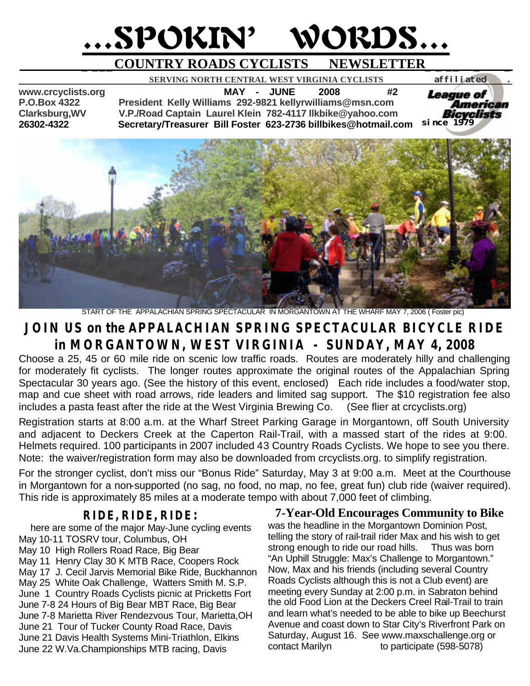# …SPOKIN' WORDS…

# **\_ \_\_\_COUNTRY ROADS CYCLISTS NEWSLETTER\_ \_ \_\_ \_ \_**

 **SERVING NORTH CENTRAL WEST VIRGINIA CYCLISTS** *affiliated .* 

**www.crcyclists.org MAY - JUNE 2008 #2 P.O.Box 4322 President Kelly Williams 292-9821 kellyrwilliams@msn.com Clarksburg,WV V.P./Road Captain Laurel Klein 782-4117 llkbike@yahoo.com 26302-4322 Secretary/Treasurer Bill Foster 623-2736 billbikes@hotmail.com** 



START OF THE APPALACHIAN SPRING SPECTACULAR IN MORGANTOWN AT THE WHARF MAY 7, 2006 ( Foster pic)

# **JOIN US on the APPALACHIAN SPRING SPECTACULAR BICYCLE RIDE in MORGANTOWN, WEST VIRGINIA - SUNDAY, MAY 4, 2008**

Choose a 25, 45 or 60 mile ride on scenic low traffic roads. Routes are moderately hilly and challenging for moderately fit cyclists. The longer routes approximate the original routes of the Appalachian Spring Spectacular 30 years ago. (See the history of this event, enclosed) Each ride includes a food/water stop, map and cue sheet with road arrows, ride leaders and limited sag support. The \$10 registration fee also includes a pasta feast after the ride at the West Virginia Brewing Co. (See flier at crcyclists.org)

Registration starts at 8:00 a.m. at the Wharf Street Parking Garage in Morgantown, off South University and adjacent to Deckers Creek at the Caperton Rail-Trail, with a massed start of the rides at 9:00. Helmets required. 100 participants in 2007 included 43 Country Roads Cyclists. We hope to see you there. Note: the waiver/registration form may also be downloaded from crcyclists.org. to simplify registration.

For the stronger cyclist, don't miss our "Bonus Ride" Saturday, May 3 at 9:00 a.m. Meet at the Courthouse in Morgantown for a non-supported (no sag, no food, no map, no fee, great fun) club ride (waiver required). This ride is approximately 85 miles at a moderate tempo with about 7,000 feet of climbing.

## **RIDE, RIDE, RIDE:**

 here are some of the major May-June cycling events May 10-11 TOSRV tour, Columbus, OH May 10 High Rollers Road Race, Big Bear May 11 Henry Clay 30 K MTB Race, Coopers Rock May 17 J. Cecil Jarvis Memorial Bike Ride, Buckhannon May 25 White Oak Challenge, Watters Smith M. S.P. June 1 Country Roads Cyclists picnic at Pricketts Fort June 7-8 24 Hours of Big Bear MBT Race, Big Bear June 7-8 Marietta River Rendezvous Tour, Marietta,OH June 21 Tour of Tucker County Road Race, Davis June 21 Davis Health Systems Mini-Triathlon, Elkins June 22 W.Va.Championships MTB racing, Davis

**7-Year-Old Encourages Community to Bike** was the headline in the Morgantown Dominion Post, telling the story of rail-trail rider Max and his wish to get strong enough to ride our road hills. Thus was born "An Uphill Struggle: Max's Challenge to Morgantown." Now, Max and his friends (including several Country Roads Cyclists although this is not a Club event) are meeting every Sunday at 2:00 p.m. in Sabraton behind the old Food Lion at the Deckers Creel Rail-Trail to train and learn what's needed to be able to bike up Beechurst Avenue and coast down to Star City's Riverfront Park on Saturday, August 16. See www.maxschallenge.org or contact Marilyn to participate (598-5078)

*since 1979*

*League of* 

American Bicvclists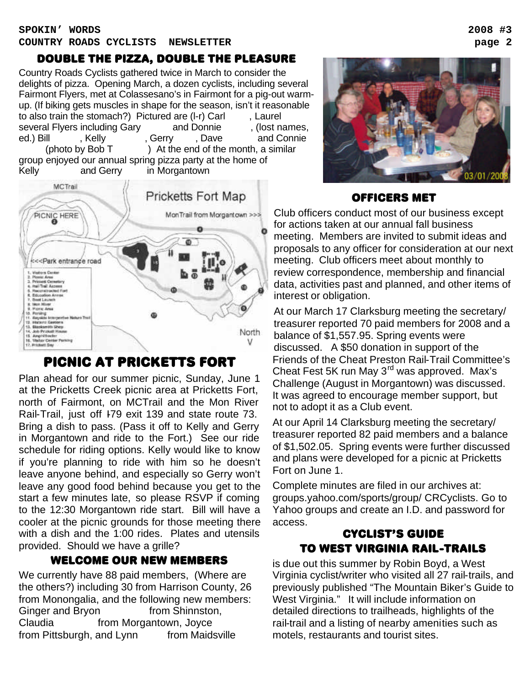### double the pizza, double the pleasure

Country Roads Cyclists gathered twice in March to consider the delights of pizza. Opening March, a dozen cyclists, including several Fairmont Flyers, met at Colassesano's in Fairmont for a pig-out warmup. (If biking gets muscles in shape for the season, isn't it reasonable to also train the stomach?) Pictured are  $(I-r)$  Carl  $\blacksquare$ , Laurel several Flyers including Gary and Donnie (lost names, ed.) Bill Fostelly Foster, Gerry Fostellian and Connie (photo by Bob  $T$ ) At the end of the month, a similar group enjoyed our annual spring pizza party at the home of Kelly and Gerry in Morgantown



# picnic at pricketts fort

Plan ahead for our summer picnic, Sunday, June 1 at the Pricketts Creek picnic area at Pricketts Fort, north of Fairmont, on MCTrail and the Mon River Rail-Trail, just off I-79 exit 139 and state route 73. Bring a dish to pass. (Pass it off to Kelly and Gerry in Morgantown and ride to the Fort.) See our ride schedule for riding options. Kelly would like to know if you're planning to ride with him so he doesn't leave anyone behind, and especially so Gerry won't leave any good food behind because you get to the start a few minutes late, so please RSVP if coming to the 12:30 Morgantown ride start. Bill will have a cooler at the picnic grounds for those meeting there with a dish and the 1:00 rides. Plates and utensils provided. Should we have a grille?

## welcome our new members

We currently have 88 paid members, (Where are the others?) including 30 from Harrison County, 26 from Monongalia, and the following new members: Ginger and Bryon from Shinnston, Claudia **From Morgantown**, Joyce from Pittsburgh, and Lynn from Maidsville



#### officers met

Club officers conduct most of our business except for actions taken at our annual fall business meeting. Members are invited to submit ideas and proposals to any officer for consideration at our next meeting. Club officers meet about monthly to review correspondence, membership and financial data, activities past and planned, and other items of interest or obligation.

At our March 17 Clarksburg meeting the secretary/ treasurer reported 70 paid members for 2008 and a balance of \$1,557.95. Spring events were discussed. A \$50 donation in support of the Friends of the Cheat Preston Rail-Trail Committee's Cheat Fest 5K run May 3<sup>rd</sup> was approved. Max's Challenge (August in Morgantown) was discussed. It was agreed to encourage member support, but not to adopt it as a Club event.

At our April 14 Clarksburg meeting the secretary/ treasurer reported 82 paid members and a balance of \$1,502.05. Spring events were further discussed and plans were developed for a picnic at Pricketts Fort on June 1.

Complete minutes are filed in our archives at: groups.yahoo.com/sports/group/ CRCyclists. Go to Yahoo groups and create an I.D. and password for access.

## cyclist's guide to west Virginia rail-trails

is due out this summer by Robin Boyd, a West Virginia cyclist/writer who visited all 27 rail-trails, and previously published "The Mountain Biker's Guide to West Virginia." It will include information on detailed directions to trailheads, highlights of the rail-trail and a listing of nearby amenities such as motels, restaurants and tourist sites.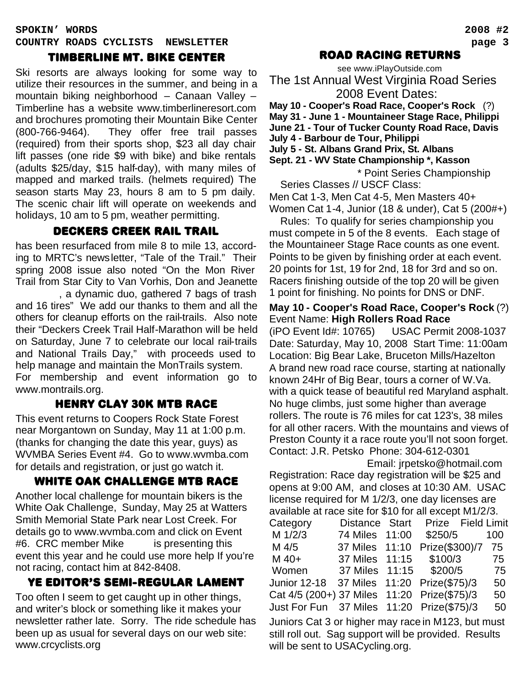#### timberline mt. bike center

Ski resorts are always looking for some way to utilize their resources in the summer, and being in a mountain biking neighborhood – Canaan Valley – Timberline has a website www.timberlineresort.com and brochures promoting their Mountain Bike Center (800-766-9464). They offer free trail passes (required) from their sports shop, \$23 all day chair lift passes (one ride \$9 with bike) and bike rentals (adults \$25/day, \$15 half-day), with many miles of mapped and marked trails. (helmets required) The season starts May 23, hours 8 am to 5 pm daily. The scenic chair lift will operate on weekends and holidays, 10 am to 5 pm, weather permitting.

### deckers creek rail trail

has been resurfaced from mile 8 to mile 13, according to MRTC's newsletter, "Tale of the Trail." Their spring 2008 issue also noted "On the Mon River Trail from Star City to Van Vorhis, Don and Jeanette

, a dynamic duo, gathered 7 bags of trash and 16 tires" We add our thanks to them and all the others for cleanup efforts on the rail-trails. Also note their "Deckers Creek Trail Half-Marathon will be held on Saturday, June 7 to celebrate our local rail-trails and National Trails Day," with proceeds used to help manage and maintain the MonTrails system. For membership and event information go to

www.montrails.org.

#### Henry clay 30K MTB RACE

This event returns to Coopers Rock State Forest near Morgantown on Sunday, May 11 at 1:00 p.m. (thanks for changing the date this year, guys) as WVMBA Series Event #4. Go to www.wvmba.com for details and registration, or just go watch it.

#### white oak challenge MTB RACE

Another local challenge for mountain bikers is the White Oak Challenge, Sunday, May 25 at Watters Smith Memorial State Park near Lost Creek. For details go to www.wvmba.com and click on Event #6. CRC member Mike is presenting this event this year and he could use more help If you're not racing, contact him at 842-8408.

#### Ye editor's semi-regular lament

Too often I seem to get caught up in other things, and writer's block or something like it makes your newsletter rather late. Sorry. The ride schedule has been up as usual for several days on our web site: www.crcyclists.org

#### road racing returns

see www.iPlayOutside.com The 1st Annual West Virginia Road Series 2008 Event Dates:

**May 10 - Cooper's Road Race, Cooper's Rock** (?) **May 31 - June 1 - Mountaineer Stage Race, Philippi June 21 - Tour of Tucker County Road Race, Davis July 4 - Barbour de Tour, Philippi July 5 - St. Albans Grand Prix, St. Albans Sept. 21 - WV State Championship \*, Kasson**

 \* Point Series Championship Series Classes // USCF Class:

Men Cat 1-3, Men Cat 4-5, Men Masters 40+ Women Cat 1-4, Junior (18 & under), Cat 5 (200#+)

 Rules: To qualify for series championship you must compete in 5 of the 8 events. Each stage of the Mountaineer Stage Race counts as one event. Points to be given by finishing order at each event. 20 points for 1st, 19 for 2nd, 18 for 3rd and so on. Racers finishing outside of the top 20 will be given 1 point for finishing. No points for DNS or DNF.

#### **May 10 - Cooper's Road Race, Cooper's Rock** (?) Event Name: **High Rollers Road Race**

(iPO Event Id#: 10765) USAC Permit 2008-1037 Date: Saturday, May 10, 2008 Start Time: 11:00am Location: Big Bear Lake, Bruceton Mills/Hazelton A brand new road race course, starting at nationally known 24Hr of Big Bear, tours a corner of W.Va. with a quick tease of beautiful red Maryland asphalt. No huge climbs, just some higher than average rollers. The route is 76 miles for cat 123's, 38 miles for all other racers. With the mountains and views of Preston County it a race route you'll not soon forget. Contact: J.R. Petsko Phone: 304-612-0301

 Email: jrpetsko@hotmail.com Registration: Race day registration will be \$25 and opens at 9:00 AM, and closes at 10:30 AM. USAC license required for M 1/2/3, one day licenses are available at race site for \$10 for all except M1/2/3.

| Category                                              | Distance Start |       | Prize Field Limit |     |
|-------------------------------------------------------|----------------|-------|-------------------|-----|
| M 1/2/3                                               | 74 Miles       | 11:00 | \$250/5           | 100 |
| M 4/5                                                 | 37 Miles       | 11:10 | Prize(\$300)/7    | 75  |
| M 40+                                                 | 37 Miles 11:15 |       | \$100/3           | 75  |
| Women                                                 | 37 Miles 11:15 |       | \$200/5           | 75  |
| Junior 12-18 37 Miles 11:20 Prize(\$75)/3             |                |       |                   | 50  |
| Cat 4/5 (200+) 37 Miles 11:20 Prize(\$75)/3           |                |       |                   | 50  |
| Just For Fun 37 Miles 11:20 Prize(\$75)/3             |                |       |                   | 50  |
| Juniors Cat 3 or higher may race in M123, but must    |                |       |                   |     |
| still roll out. Sag support will be provided. Results |                |       |                   |     |
| will be sent to USACycling.org.                       |                |       |                   |     |